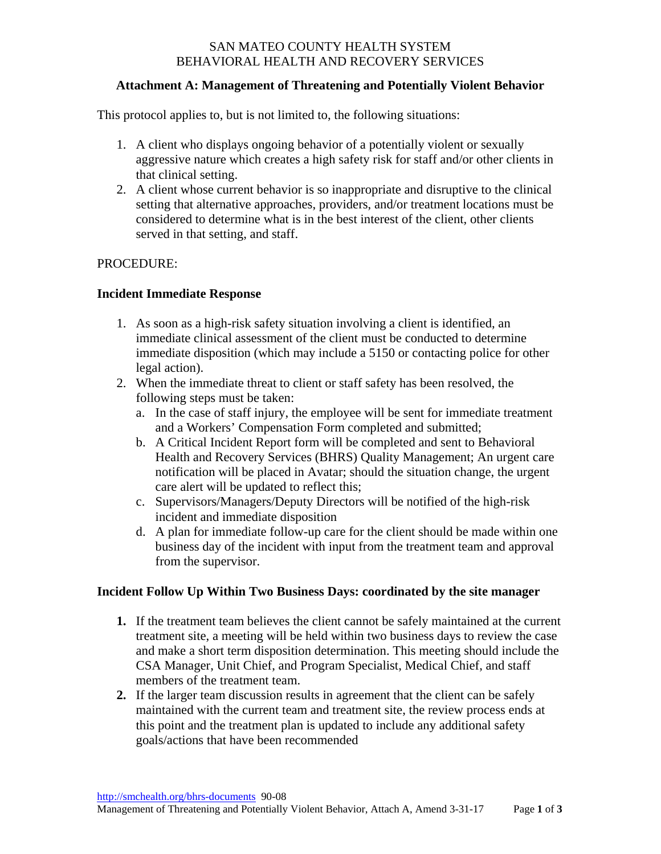## SAN MATEO COUNTY HEALTH SYSTEM BEHAVIORAL HEALTH AND RECOVERY SERVICES

## **Attachment A: Management of Threatening and Potentially Violent Behavior**

This protocol applies to, but is not limited to, the following situations:

- 1. A client who displays ongoing behavior of a potentially violent or sexually aggressive nature which creates a high safety risk for staff and/or other clients in that clinical setting.
- 2. A client whose current behavior is so inappropriate and disruptive to the clinical setting that alternative approaches, providers, and/or treatment locations must be considered to determine what is in the best interest of the client, other clients served in that setting, and staff.

#### PROCEDURE:

## **Incident Immediate Response**

- 1. As soon as a high-risk safety situation involving a client is identified, an immediate clinical assessment of the client must be conducted to determine immediate disposition (which may include a 5150 or contacting police for other legal action).
- 2. When the immediate threat to client or staff safety has been resolved, the following steps must be taken:
	- a. In the case of staff injury, the employee will be sent for immediate treatment and a Workers' Compensation Form completed and submitted;
	- b. A Critical Incident Report form will be completed and sent to Behavioral Health and Recovery Services (BHRS) Quality Management; An urgent care notification will be placed in Avatar; should the situation change, the urgent care alert will be updated to reflect this;
	- c. Supervisors/Managers/Deputy Directors will be notified of the high-risk incident and immediate disposition
	- d. A plan for immediate follow-up care for the client should be made within one business day of the incident with input from the treatment team and approval from the supervisor.

#### **Incident Follow Up Within Two Business Days: coordinated by the site manager**

- **1.** If the treatment team believes the client cannot be safely maintained at the current treatment site, a meeting will be held within two business days to review the case and make a short term disposition determination. This meeting should include the CSA Manager, Unit Chief, and Program Specialist, Medical Chief, and staff members of the treatment team.
- **2.** If the larger team discussion results in agreement that the client can be safely maintained with the current team and treatment site, the review process ends at this point and the treatment plan is updated to include any additional safety goals/actions that have been recommended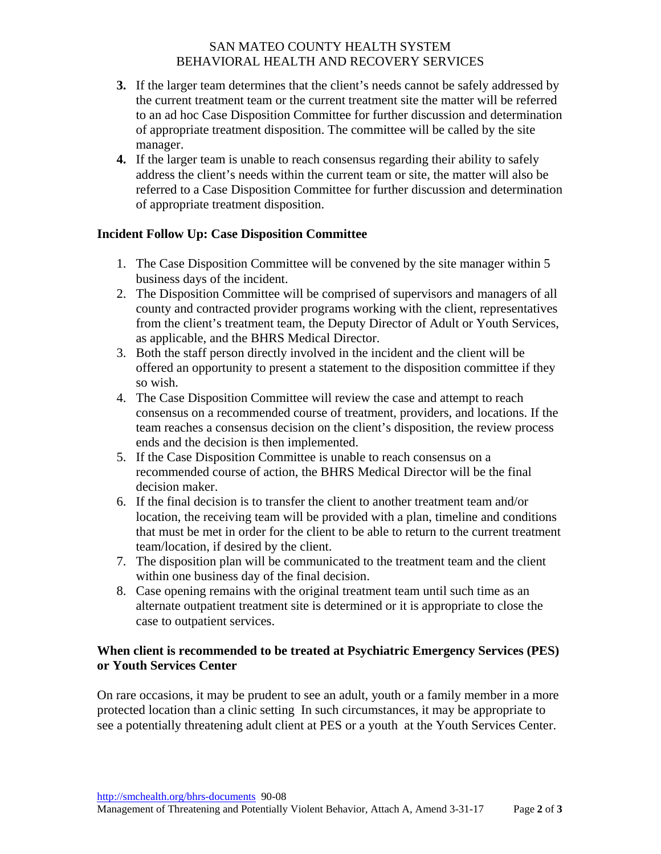## SAN MATEO COUNTY HEALTH SYSTEM BEHAVIORAL HEALTH AND RECOVERY SERVICES

- **3.** If the larger team determines that the client's needs cannot be safely addressed by the current treatment team or the current treatment site the matter will be referred to an ad hoc Case Disposition Committee for further discussion and determination of appropriate treatment disposition. The committee will be called by the site manager.
- **4.** If the larger team is unable to reach consensus regarding their ability to safely address the client's needs within the current team or site, the matter will also be referred to a Case Disposition Committee for further discussion and determination of appropriate treatment disposition.

# **Incident Follow Up: Case Disposition Committee**

- 1. The Case Disposition Committee will be convened by the site manager within 5 business days of the incident.
- 2. The Disposition Committee will be comprised of supervisors and managers of all county and contracted provider programs working with the client, representatives from the client's treatment team, the Deputy Director of Adult or Youth Services, as applicable, and the BHRS Medical Director.
- 3. Both the staff person directly involved in the incident and the client will be offered an opportunity to present a statement to the disposition committee if they so wish.
- 4. The Case Disposition Committee will review the case and attempt to reach consensus on a recommended course of treatment, providers, and locations. If the team reaches a consensus decision on the client's disposition, the review process ends and the decision is then implemented.
- 5. If the Case Disposition Committee is unable to reach consensus on a recommended course of action, the BHRS Medical Director will be the final decision maker.
- 6. If the final decision is to transfer the client to another treatment team and/or location, the receiving team will be provided with a plan, timeline and conditions that must be met in order for the client to be able to return to the current treatment team/location, if desired by the client.
- 7. The disposition plan will be communicated to the treatment team and the client within one business day of the final decision.
- 8. Case opening remains with the original treatment team until such time as an alternate outpatient treatment site is determined or it is appropriate to close the case to outpatient services.

# **When client is recommended to be treated at Psychiatric Emergency Services (PES) or Youth Services Center**

On rare occasions, it may be prudent to see an adult, youth or a family member in a more protected location than a clinic setting In such circumstances, it may be appropriate to see a potentially threatening adult client at PES or a youth at the Youth Services Center.